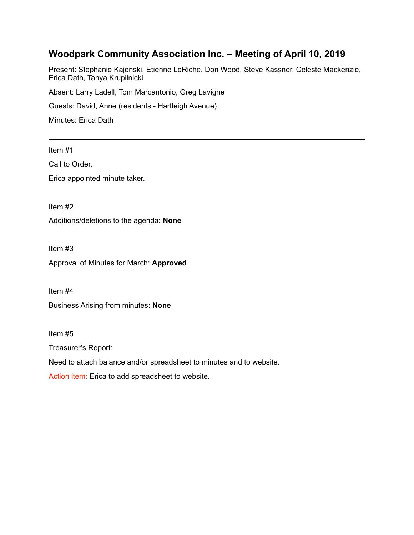# **Woodpark Community Association Inc. – Meeting of April 10, 2019**

Present: Stephanie Kajenski, Etienne LeRiche, Don Wood, Steve Kassner, Celeste Mackenzie, Erica Dath, Tanya Krupilnicki

Absent: Larry Ladell, Tom Marcantonio, Greg Lavigne

Guests: David, Anne (residents - Hartleigh Avenue)

Minutes: Erica Dath

Item #1

Call to Order.

Erica appointed minute taker.

Item #2

Additions/deletions to the agenda: **None** 

Item #3

Approval of Minutes for March: **Approved**

Item #4

Business Arising from minutes: **None** 

Item #5

Treasurer's Report:

Need to attach balance and/or spreadsheet to minutes and to website.

Action item: Erica to add spreadsheet to website.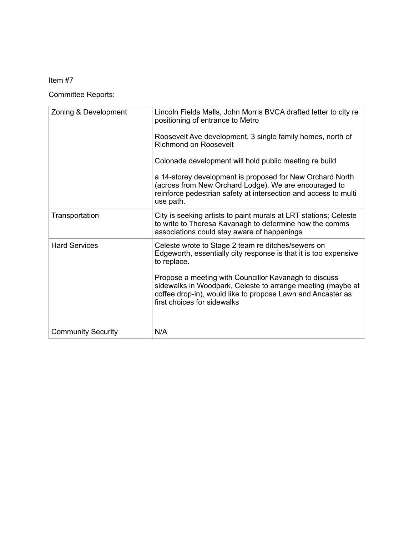# Item #7

Committee Reports:

| Zoning & Development      | Lincoln Fields Malls, John Morris BVCA drafted letter to city re<br>positioning of entrance to Metro<br>Roosevelt Ave development, 3 single family homes, north of<br>Richmond on Roosevelt<br>Colonade development will hold public meeting re build<br>a 14-storey development is proposed for New Orchard North<br>(across from New Orchard Lodge). We are encouraged to<br>reinforce pedestrian safety at intersection and access to multi<br>use path. |
|---------------------------|-------------------------------------------------------------------------------------------------------------------------------------------------------------------------------------------------------------------------------------------------------------------------------------------------------------------------------------------------------------------------------------------------------------------------------------------------------------|
| Transportation            | City is seeking artists to paint murals at LRT stations; Celeste<br>to write to Theresa Kavanagh to determine how the comms<br>associations could stay aware of happenings                                                                                                                                                                                                                                                                                  |
| <b>Hard Services</b>      | Celeste wrote to Stage 2 team re ditches/sewers on<br>Edgeworth, essentially city response is that it is too expensive<br>to replace.<br>Propose a meeting with Councillor Kavanagh to discuss<br>sidewalks in Woodpark, Celeste to arrange meeting (maybe at<br>coffee drop-in), would like to propose Lawn and Ancaster as<br>first choices for sidewalks                                                                                                 |
| <b>Community Security</b> | N/A                                                                                                                                                                                                                                                                                                                                                                                                                                                         |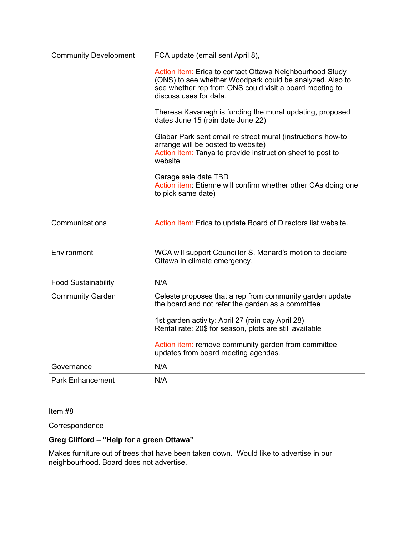| <b>Community Development</b> | FCA update (email sent April 8),                                                                                                                                                                                                                                                                                                   |
|------------------------------|------------------------------------------------------------------------------------------------------------------------------------------------------------------------------------------------------------------------------------------------------------------------------------------------------------------------------------|
|                              | Action item: Erica to contact Ottawa Neighbourhood Study<br>(ONS) to see whether Woodpark could be analyzed. Also to<br>see whether rep from ONS could visit a board meeting to<br>discuss uses for data.                                                                                                                          |
|                              | Theresa Kavanagh is funding the mural updating, proposed<br>dates June 15 (rain date June 22)                                                                                                                                                                                                                                      |
|                              | Glabar Park sent email re street mural (instructions how-to<br>arrange will be posted to website)<br>Action item: Tanya to provide instruction sheet to post to<br>website                                                                                                                                                         |
|                              | Garage sale date TBD<br>Action item: Etienne will confirm whether other CAs doing one<br>to pick same date)                                                                                                                                                                                                                        |
| Communications               | Action item: Erica to update Board of Directors list website.                                                                                                                                                                                                                                                                      |
| Environment                  | WCA will support Councillor S. Menard's motion to declare<br>Ottawa in climate emergency.                                                                                                                                                                                                                                          |
| <b>Food Sustainability</b>   | N/A                                                                                                                                                                                                                                                                                                                                |
| <b>Community Garden</b>      | Celeste proposes that a rep from community garden update<br>the board and not refer the garden as a committee<br>1st garden activity: April 27 (rain day April 28)<br>Rental rate: 20\$ for season, plots are still available<br>Action <i>item:</i> remove community garden from committee<br>updates from board meeting agendas. |
| Governance                   | N/A                                                                                                                                                                                                                                                                                                                                |
| <b>Park Enhancement</b>      | N/A                                                                                                                                                                                                                                                                                                                                |

Item #8

**Correspondence** 

# **Greg Clifford – "Help for a green Ottawa"**

Makes furniture out of trees that have been taken down. Would like to advertise in our neighbourhood. Board does not advertise.